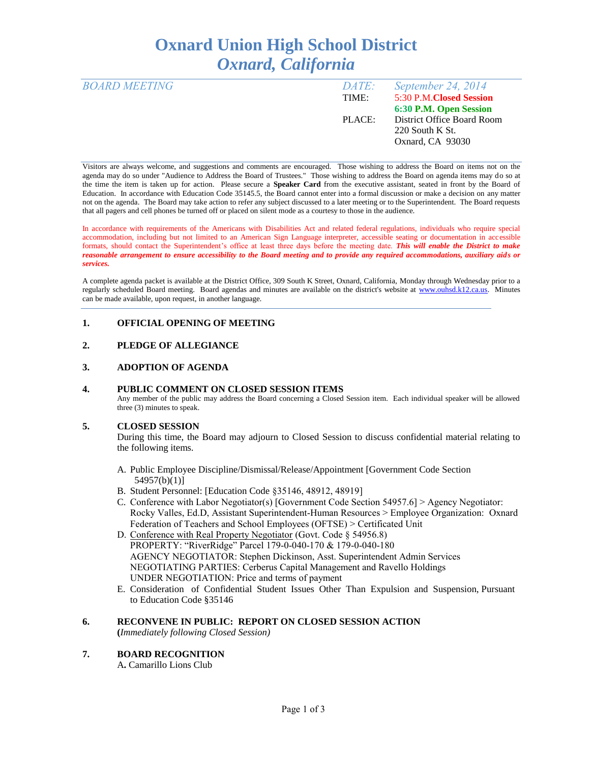# **Oxnard Union High School District** *Oxnard, California*

| <b>BOARD MEETING</b> | DATE:  | September 24, 2014         |
|----------------------|--------|----------------------------|
|                      | TIME:  | 5:30 P.M.Closed Session    |
|                      |        | 6:30 P.M. Open Session     |
|                      | PLACE: | District Office Board Room |
|                      |        | $220$ South K St.          |
|                      |        | Oxnard, CA 93030           |
|                      |        |                            |

Visitors are always welcome, and suggestions and comments are encouraged. Those wishing to address the Board on items not on the agenda may do so under "Audience to Address the Board of Trustees." Those wishing to address the Board on agenda items may do so at the time the item is taken up for action. Please secure a **Speaker Card** from the executive assistant, seated in front by the Board of Education. In accordance with Education Code 35145.5, the Board cannot enter into a formal discussion or make a decision on any matter not on the agenda. The Board may take action to refer any subject discussed to a later meeting or to the Superintendent. The Board requests that all pagers and cell phones be turned off or placed on silent mode as a courtesy to those in the audience.

In accordance with requirements of the Americans with Disabilities Act and related federal regulations, individuals who require special accommodation, including but not limited to an American Sign Language interpreter, accessible seating or documentation in accessible formats, should contact the Superintendent's office at least three days before the meeting date. *This will enable the District to make reasonable arrangement to ensure accessibility to the Board meeting and to provide any required accommodations, auxiliary aids or services.* 

A complete agenda packet is available at the District Office, 309 South K Street, Oxnard, California, Monday through Wednesday prior to a regularly scheduled Board meeting. Board agendas and minutes are available on the district's website at [www.ouhsd.k12.ca.us.](http://www.ouhsd.k12.ca.us/)Minutes can be made available, upon request, in another language.

## **1. OFFICIAL OPENING OF MEETING**

## **2. PLEDGE OF ALLEGIANCE**

### **3. ADOPTION OF AGENDA**

#### **4. PUBLIC COMMENT ON CLOSED SESSION ITEMS**

Any member of the public may address the Board concerning a Closed Session item. Each individual speaker will be allowed three (3) minutes to speak.

### **5. CLOSED SESSION**

During this time, the Board may adjourn to Closed Session to discuss confidential material relating to the following items.

- A. Public Employee Discipline/Dismissal/Release/Appointment [Government Code Section 54957(b)(1)]
- B. Student Personnel: [Education Code §35146, 48912, 48919]
- C. Conference with Labor Negotiator(s) [Government Code Section 54957.6] > Agency Negotiator: Rocky Valles, Ed.D, Assistant Superintendent-Human Resources > Employee Organization: Oxnard Federation of Teachers and School Employees (OFTSE) > Certificated Unit
- D. Conference with Real Property Negotiator (Govt. Code § 54956.8) PROPERTY: "RiverRidge" Parcel 179-0-040-170 & 179-0-040-180 AGENCY NEGOTIATOR: Stephen Dickinson, Asst. Superintendent Admin Services NEGOTIATING PARTIES: Cerberus Capital Management and Ravello Holdings UNDER NEGOTIATION: Price and terms of payment
- E. Consideration of Confidential Student Issues Other Than Expulsion and Suspension, Pursuant to Education Code §35146

## **6. RECONVENE IN PUBLIC: REPORT ON CLOSED SESSION ACTION**

**(***Immediately following Closed Session)*

## **7. BOARD RECOGNITION**

A**.** Camarillo Lions Club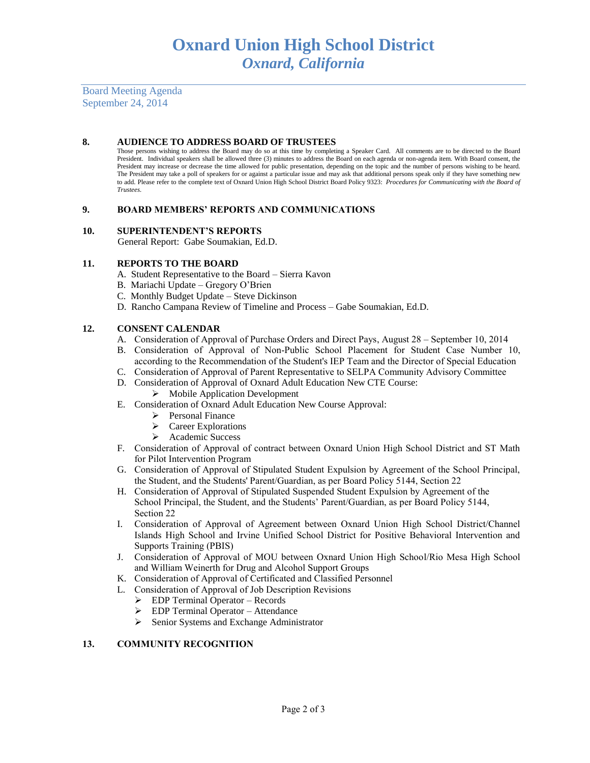Board Meeting Agenda September 24, 2014

#### **8. AUDIENCE TO ADDRESS BOARD OF TRUSTEES**

Those persons wishing to address the Board may do so at this time by completing a Speaker Card. All comments are to be directed to the Board President. Individual speakers shall be allowed three (3) minutes to address the Board on each agenda or non-agenda item. With Board consent, the President may increase or decrease the time allowed for public presentation, depending on the topic and the number of persons wishing to be heard. The President may take a poll of speakers for or against a particular issue and may ask that additional persons speak only if they have something new to add. Please refer to the complete text of Oxnard Union High School District Board Policy 9323: *Procedures for Communicating with the Board of Trustees.*

#### **9. BOARD MEMBERS' REPORTS AND COMMUNICATIONS**

#### **10. SUPERINTENDENT'S REPORTS**

General Report: Gabe Soumakian, Ed.D.

#### **11. REPORTS TO THE BOARD**

- A. Student Representative to the Board Sierra Kavon
- B. Mariachi Update Gregory O'Brien
- C. Monthly Budget Update Steve Dickinson
- D. Rancho Campana Review of Timeline and Process Gabe Soumakian, Ed.D.

## **12. CONSENT CALENDAR**

- A. Consideration of Approval of Purchase Orders and Direct Pays, August 28 September 10, 2014
- B. Consideration of Approval of Non-Public School Placement for Student Case Number 10, according to the Recommendation of the Student's IEP Team and the Director of Special Education
- C. Consideration of Approval of Parent Representative to SELPA Community Advisory Committee
- D. Consideration of Approval of Oxnard Adult Education New CTE Course:  $\triangleright$  Mobile Application Development
- E. Consideration of Oxnard Adult Education New Course Approval:
	- $\triangleright$  Personal Finance
	- $\triangleright$  Career Explorations
	- Academic Success
- F. Consideration of Approval of contract between Oxnard Union High School District and ST Math for Pilot Intervention Program
- G. Consideration of Approval of Stipulated Student Expulsion by Agreement of the School Principal, the Student, and the Students' Parent/Guardian, as per Board Policy 5144, Section 22
- H. Consideration of Approval of Stipulated Suspended Student Expulsion by Agreement of the School Principal, the Student, and the Students' Parent/Guardian, as per Board Policy 5144, Section 22
- I. Consideration of Approval of Agreement between Oxnard Union High School District/Channel Islands High School and Irvine Unified School District for Positive Behavioral Intervention and Supports Training (PBIS)
- J. Consideration of Approval of MOU between Oxnard Union High School/Rio Mesa High School and William Weinerth for Drug and Alcohol Support Groups
- K. Consideration of Approval of Certificated and Classified Personnel
- L. Consideration of Approval of Job Description Revisions
	- **EDP Terminal Operator Records**
	- EDP Terminal Operator Attendance
	- $\triangleright$  Senior Systems and Exchange Administrator

### **13. COMMUNITY RECOGNITION**